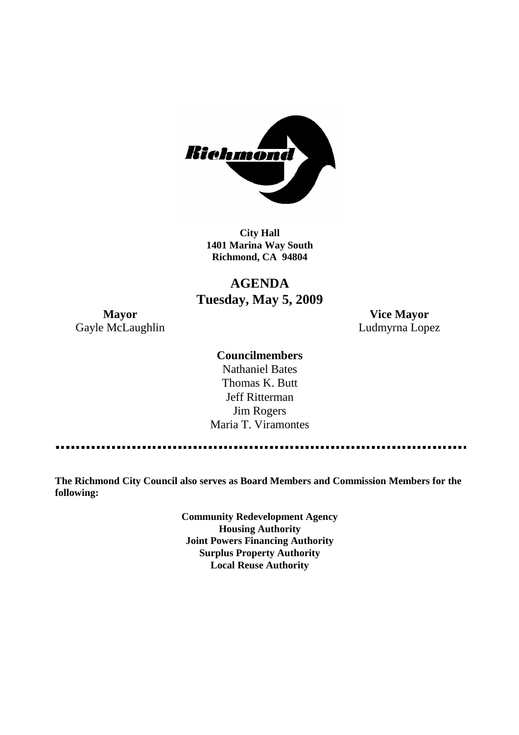

**City Hall 1401 Marina Way South Richmond, CA 94804**

## **AGENDA Tuesday, May 5, 2009**

Gayle McLaughlin **Ludmyrna Lopez** 

**Mayor Vice Mayor**

### **Councilmembers**

Nathaniel Bates Thomas K. Butt Jeff Ritterman Jim Rogers Maria T. Viramontes

**The Richmond City Council also serves as Board Members and Commission Members for the following:**

> **Community Redevelopment Agency Housing Authority Joint Powers Financing Authority Surplus Property Authority Local Reuse Authority**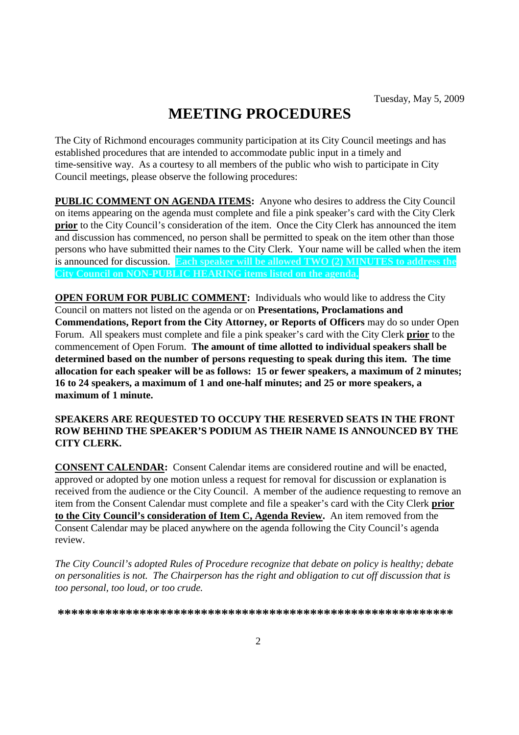# **MEETING PROCEDURES**

The City of Richmond encourages community participation at its City Council meetings and has established procedures that are intended to accommodate public input in a timely and time-sensitive way. As a courtesy to all members of the public who wish to participate in City Council meetings, please observe the following procedures:

**PUBLIC COMMENT ON AGENDA ITEMS:** Anyone who desires to address the City Council on items appearing on the agenda must complete and file a pink speaker's card with the City Clerk **prior** to the City Council's consideration of the item. Once the City Clerk has announced the item and discussion has commenced, no person shall be permitted to speak on the item other than those persons who have submitted their names to the City Clerk. Your name will be called when the item is announced for discussion. **Each speaker will be allowed TWO (2) MINUTES to address the City Council on NON-PUBLIC HEARING items listed on the agenda.**

**OPEN FORUM FOR PUBLIC COMMENT:** Individuals who would like to address the City Council on matters not listed on the agenda or on **Presentations, Proclamations and Commendations, Report from the City Attorney, or Reports of Officers** may do so under Open Forum. All speakers must complete and file a pink speaker's card with the City Clerk **prior** to the commencement of Open Forum. **The amount of time allotted to individual speakers shall be determined based on the number of persons requesting to speak during this item. The time allocation for each speaker will be as follows: 15 or fewer speakers, a maximum of 2 minutes; 16 to 24 speakers, a maximum of 1 and one-half minutes; and 25 or more speakers, a maximum of 1 minute.**

### **SPEAKERS ARE REQUESTED TO OCCUPY THE RESERVED SEATS IN THE FRONT ROW BEHIND THE SPEAKER'S PODIUM AS THEIR NAME IS ANNOUNCED BY THE CITY CLERK.**

**CONSENT CALENDAR:** Consent Calendar items are considered routine and will be enacted, approved or adopted by one motion unless a request for removal for discussion or explanation is received from the audience or the City Council. A member of the audience requesting to remove an item from the Consent Calendar must complete and file a speaker's card with the City Clerk **prior to the City Council's consideration of Item C, Agenda Review.** An item removed from the Consent Calendar may be placed anywhere on the agenda following the City Council's agenda review.

*The City Council's adopted Rules of Procedure recognize that debate on policy is healthy; debate on personalities is not. The Chairperson has the right and obligation to cut off discussion that is too personal, too loud, or too crude.*

**\*\*\*\*\*\*\*\*\*\*\*\*\*\*\*\*\*\*\*\*\*\*\*\*\*\*\*\*\*\*\*\*\*\*\*\*\*\*\*\*\*\*\*\*\*\*\*\*\*\*\*\*\*\*\*\*\*\***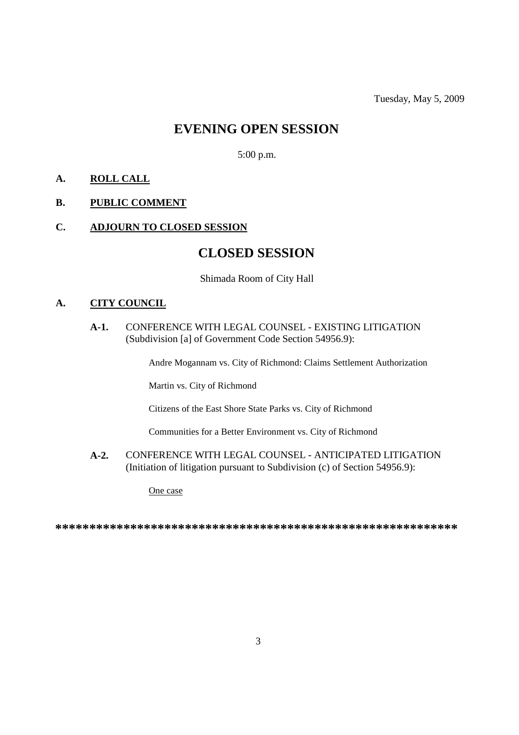### **EVENING OPEN SESSION**

5:00 p.m.

### **A. ROLL CALL**

### **B. PUBLIC COMMENT**

### **C. ADJOURN TO CLOSED SESSION**

### **CLOSED SESSION**

Shimada Room of City Hall

### **A. CITY COUNCIL**

### **A-1.** CONFERENCE WITH LEGAL COUNSEL - EXISTING LITIGATION (Subdivision [a] of Government Code Section 54956.9):

Andre Mogannam vs. City of Richmond: Claims Settlement Authorization

Martin vs. City of Richmond

Citizens of the East Shore State Parks vs. City of Richmond

Communities for a Better Environment vs. City of Richmond

**A-2.** CONFERENCE WITH LEGAL COUNSEL - ANTICIPATED LITIGATION (Initiation of litigation pursuant to Subdivision (c) of Section 54956.9):

One case

**\*\*\*\*\*\*\*\*\*\*\*\*\*\*\*\*\*\*\*\*\*\*\*\*\*\*\*\*\*\*\*\*\*\*\*\*\*\*\*\*\*\*\*\*\*\*\*\*\*\*\*\*\*\*\*\*\*\*\***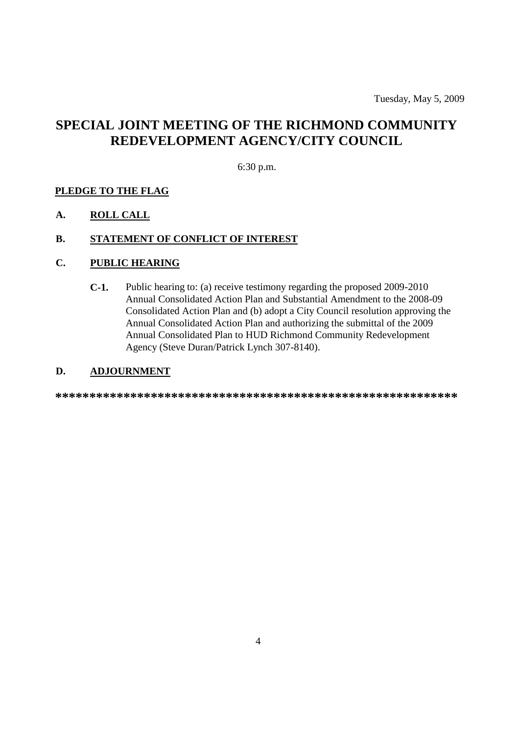## **SPECIAL JOINT MEETING OF THE RICHMOND COMMUNITY REDEVELOPMENT AGENCY/CITY COUNCIL**

### 6:30 p.m.

### **PLEDGE TO THE FLAG**

### **A. ROLL CALL**

### **B. STATEMENT OF CONFLICT OF INTEREST**

### **C. PUBLIC HEARING**

**C-1.** Public hearing to: (a) receive testimony regarding the proposed 2009-2010 Annual Consolidated Action Plan and Substantial Amendment to the 2008-09 Consolidated Action Plan and (b) adopt a City Council resolution approving the Annual Consolidated Action Plan and authorizing the submittal of the 2009 Annual Consolidated Plan to HUD Richmond Community Redevelopment Agency (Steve Duran/Patrick Lynch 307-8140).

### **D. ADJOURNMENT**

**\*\*\*\*\*\*\*\*\*\*\*\*\*\*\*\*\*\*\*\*\*\*\*\*\*\*\*\*\*\*\*\*\*\*\*\*\*\*\*\*\*\*\*\*\*\*\*\*\*\*\*\*\*\*\*\*\*\*\***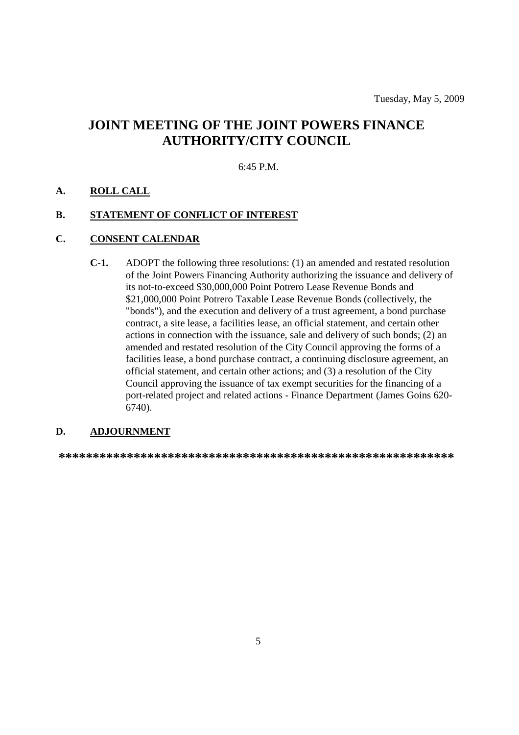## **JOINT MEETING OF THE JOINT POWERS FINANCE AUTHORITY/CITY COUNCIL**

#### 6:45 P.M.

### **A. ROLL CALL**

### **B. STATEMENT OF CONFLICT OF INTEREST**

### **C. CONSENT CALENDAR**

**C-1.** ADOPT the following three resolutions: (1) an amended and restated resolution of the Joint Powers Financing Authority authorizing the issuance and delivery of its not-to-exceed \$30,000,000 Point Potrero Lease Revenue Bonds and \$21,000,000 Point Potrero Taxable Lease Revenue Bonds (collectively, the "bonds"), and the execution and delivery of a trust agreement, a bond purchase contract, a site lease, a facilities lease, an official statement, and certain other actions in connection with the issuance, sale and delivery of such bonds; (2) an amended and restated resolution of the City Council approving the forms of a facilities lease, a bond purchase contract, a continuing disclosure agreement, an official statement, and certain other actions; and (3) a resolution of the City Council approving the issuance of tax exempt securities for the financing of a port-related project and related actions - Finance Department (James Goins 620- 6740).

### **D. ADJOURNMENT**

**\*\*\*\*\*\*\*\*\*\*\*\*\*\*\*\*\*\*\*\*\*\*\*\*\*\*\*\*\*\*\*\*\*\*\*\*\*\*\*\*\*\*\*\*\*\*\*\*\*\*\*\*\*\*\*\*\*\***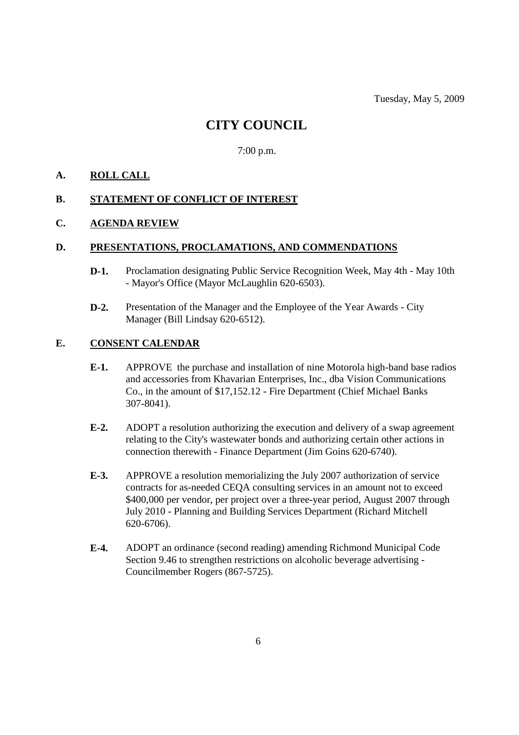## **CITY COUNCIL**

7:00 p.m.

### **A. ROLL CALL**

### **B. STATEMENT OF CONFLICT OF INTEREST**

### **C. AGENDA REVIEW**

### **D. PRESENTATIONS, PROCLAMATIONS, AND COMMENDATIONS**

- **D-1.** Proclamation designating Public Service Recognition Week, May 4th May 10th - Mayor's Office (Mayor McLaughlin 620-6503).
- **D-2.** Presentation of the Manager and the Employee of the Year Awards City Manager (Bill Lindsay 620-6512).

### **E. CONSENT CALENDAR**

- **E-1.** APPROVE the purchase and installation of nine Motorola high-band base radios and accessories from Khavarian Enterprises, Inc., dba Vision Communications Co., in the amount of \$17,152.12 - Fire Department (Chief Michael Banks 307-8041).
- **E-2.** ADOPT a resolution authorizing the execution and delivery of a swap agreement relating to the City's wastewater bonds and authorizing certain other actions in connection therewith - Finance Department (Jim Goins 620-6740).
- **E-3.** APPROVE a resolution memorializing the July 2007 authorization of service contracts for as-needed CEQA consulting services in an amount not to exceed \$400,000 per vendor, per project over a three-year period, August 2007 through July 2010 - Planning and Building Services Department (Richard Mitchell 620-6706).
- **E-4.** ADOPT an ordinance (second reading) amending Richmond Municipal Code Section 9.46 to strengthen restrictions on alcoholic beverage advertising - Councilmember Rogers (867-5725).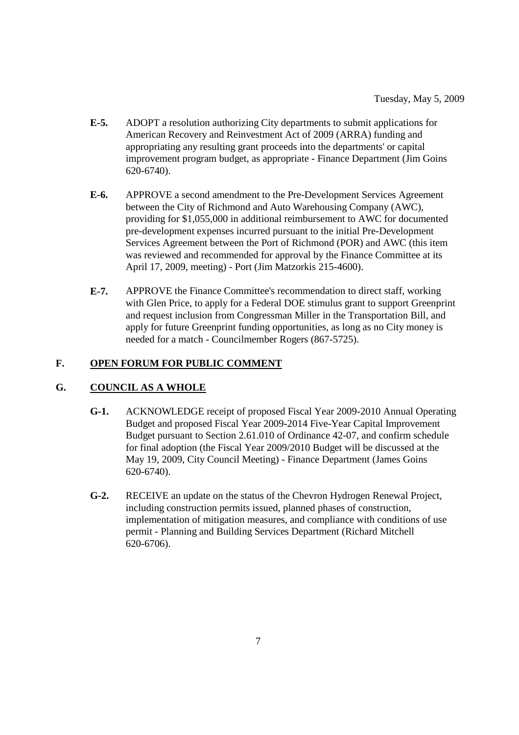- **E-5.** ADOPT a resolution authorizing City departments to submit applications for American Recovery and Reinvestment Act of 2009 (ARRA) funding and appropriating any resulting grant proceeds into the departments' or capital improvement program budget, as appropriate - Finance Department (Jim Goins 620-6740).
- **E-6.** APPROVE a second amendment to the Pre-Development Services Agreement between the City of Richmond and Auto Warehousing Company (AWC), providing for \$1,055,000 in additional reimbursement to AWC for documented pre-development expenses incurred pursuant to the initial Pre-Development Services Agreement between the Port of Richmond (POR) and AWC (this item was reviewed and recommended for approval by the Finance Committee at its April 17, 2009, meeting) - Port (Jim Matzorkis 215-4600).
- **E-7.** APPROVE the Finance Committee's recommendation to direct staff, working with Glen Price, to apply for a Federal DOE stimulus grant to support Greenprint and request inclusion from Congressman Miller in the Transportation Bill, and apply for future Greenprint funding opportunities, as long as no City money is needed for a match - Councilmember Rogers (867-5725).

### **F. OPEN FORUM FOR PUBLIC COMMENT**

### **G. COUNCIL AS A WHOLE**

- **G-1.** ACKNOWLEDGE receipt of proposed Fiscal Year 2009-2010 Annual Operating Budget and proposed Fiscal Year 2009-2014 Five-Year Capital Improvement Budget pursuant to Section 2.61.010 of Ordinance 42-07, and confirm schedule for final adoption (the Fiscal Year 2009/2010 Budget will be discussed at the May 19, 2009, City Council Meeting) - Finance Department (James Goins 620-6740).
- **G-2.** RECEIVE an update on the status of the Chevron Hydrogen Renewal Project, including construction permits issued, planned phases of construction, implementation of mitigation measures, and compliance with conditions of use permit - Planning and Building Services Department (Richard Mitchell 620-6706).